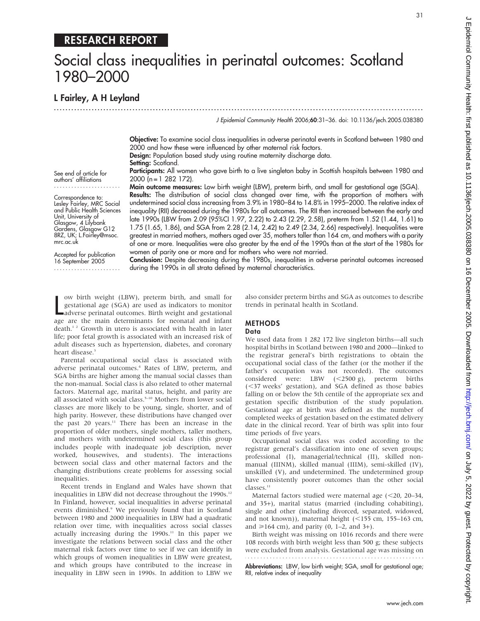## RESEARCH REPORT

# Social class inequalities in perinatal outcomes: Scotland 1980–2000

L Fairley, A H Leyland

............................................................................................................................... J Epidemiol Community Health 2006;60:31–36. doi: 10.1136/jech.2005.038380

> Objective: To examine social class inequalities in adverse perinatal events in Scotland between 1980 and 2000 and how these were influenced by other maternal risk factors. Design: Population based study using routine maternity discharge data.

Setting: Scotland.

Participants: All women who gave birth to a live singleton baby in Scottish hospitals between 1980 and 2000 (n = 1 282 172).

Main outcome measures: Low birth weight (LBW), preterm birth, and small for gestational age (SGA).

Accepted for publication 16 September 2005 .......................

Conclusion: Despite decreasing during the 1980s, inequalities in adverse perinatal outcomes increased during the 1990s in all strata defined by maternal characteristics.

we birth weight (LBW), preterm birth, and small for gestational age (SGA) are used as indicators to monitor adverse perinatal outcomes. Birth weight and gestational age are the main determinants for neonatal and infant ow birth weight (LBW), preterm birth, and small for gestational age (SGA) are used as indicators to monitor adverse perinatal outcomes. Birth weight and gestational death.<sup>12</sup> Growth in utero is associated with health in later life; poor fetal growth is associated with an increased risk of adult diseases such as hypertension, diabetes, and coronary heart disease.<sup>3</sup>

Parental occupational social class is associated with adverse perinatal outcomes.<sup>4</sup> Rates of LBW, preterm, and SGA births are higher among the manual social classes than the non-manual. Social class is also related to other maternal factors. Maternal age, marital status, height, and parity are all associated with social class.<sup>5-10</sup> Mothers from lower social classes are more likely to be young, single, shorter, and of high parity. However, these distributions have changed over the past 20 years.<sup>11</sup> There has been an increase in the proportion of older mothers, single mothers, taller mothers, and mothers with undetermined social class (this group includes people with inadequate job description, never worked, housewives, and students). The interactions between social class and other maternal factors and the changing distributions create problems for assessing social inequalities.

Recent trends in England and Wales have shown that inequalities in LBW did not decrease throughout the  $1990s$ .<sup>12</sup> In Finland, however, social inequalities in adverse perinatal events diminished.<sup>9</sup> We previously found that in Scotland between 1980 and 2000 inequalities in LBW had a quadratic relation over time, with inequalities across social classes actually increasing during the  $1990s$ .<sup>11</sup> In this paper we investigate the relations between social class and the other maternal risk factors over time to see if we can identify in which groups of women inequalities in LBW were greatest, and which groups have contributed to the increase in inequality in LBW seen in 1990s. In addition to LBW we

also consider preterm births and SGA as outcomes to describe trends in perinatal health in Scotland.

## METHODS Data

We used data from 1 282 172 live singleton births—all such hospital births in Scotland between 1980 and 2000—linked to the registrar general's birth registrations to obtain the occupational social class of the father (or the mother if the father's occupation was not recorded). The outcomes considered were: LBW  $(<2500 g$ ), preterm births (<37 weeks' gestation), and SGA defined as those babies falling on or below the 5th centile of the appropriate sex and gestation specific distribution of the study population. Gestational age at birth was defined as the number of completed weeks of gestation based on the estimated delivery date in the clinical record. Year of birth was split into four time periods of five years.

Occupational social class was coded according to the registrar general's classification into one of seven groups; professional (I), managerial/technical (II), skilled nonmanual (IIINM), skilled manual (IIIM), semi-skilled (IV), unskilled (V), and undetermined. The undetermined group have consistently poorer outcomes than the other social classes.<sup>11</sup>

Maternal factors studied were maternal age  $(<$  20, 20–34, and 35+), marital status (married (including cohabiting), single and other (including divorced, separated, widowed, and not known)), maternal height  $(<155$  cm, 155–163 cm, and  $\geq 164$  cm), and parity (0, 1–2, and 3+).

Birth weight was missing on 1016 records and there were 108 records with birth weight less than 500 g; these subjects were excluded from analysis. Gestational age was missing on

Abbreviations: LBW, low birth weight; SGA, small for gestational age; RII, relative index of inequality

See end of article for authors' affiliations ....................... Correspondence to: Lesley Fairley, MRC Social and Public Health Sciences Unit, University of

> Glasgow, 4 Lilybank Gardens, Glasgow G12 8RZ, UK; L.Fairley@msoc.

mrc.ac.uk

Results: The distribution of social class changed over time, with the proportion of mothers with undetermined social class increasing from 3.9% in 1980–84 to 14.8% in 1995–2000. The relative index of inequality (RII) decreased during the 1980s for all outcomes. The RII then increased between the early and late 1990s (LBW from 2.09 (95%CI 1.97, 2.22) to 2.43 (2.29, 2.58), preterm from 1.52 (1.44, 1.61) to 1.75 (1.65, 1.86), and SGA from 2.28 (2.14, 2.42) to 2.49 (2.34, 2.66) respectively). Inequalities were greatest in married mothers, mothers aged over 35, mothers taller than 164 cm, and mothers with a parity of one or more. Inequalities were also greater by the end of the 1990s than at the start of the 1980s for women of parity one or more and for mothers who were not married.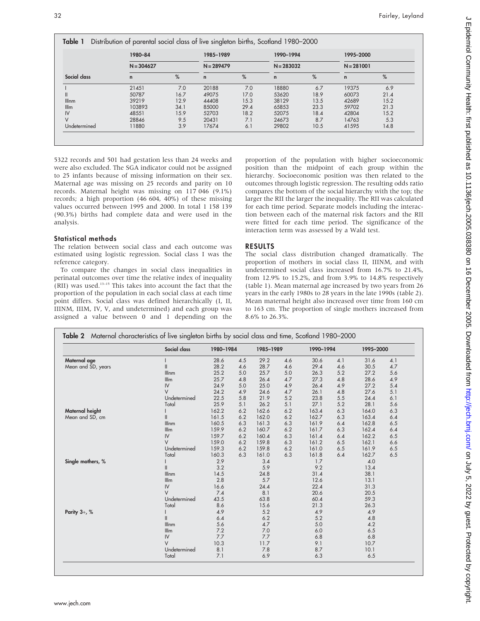| Social class  | 1980-84      |      | 1985-1989    |      | 1990-1994    |      | 1995-2000<br>$N = 281001$ |      |  |
|---------------|--------------|------|--------------|------|--------------|------|---------------------------|------|--|
|               | $N = 304627$ |      | $N = 289479$ |      | $N = 283032$ |      |                           |      |  |
|               | $\mathbf n$  | %    | $\mathsf{n}$ | %    | $\mathsf{n}$ | %    | $\mathsf{n}$              | %    |  |
|               | 21451        | 7.0  | 20188        | 7.0  | 18880        | 6.7  | 19375                     | 6.9  |  |
| Ш             | 50787        | 16.7 | 49075        | 17.0 | 53620        | 18.9 | 60073                     | 21.4 |  |
| <b>Illnm</b>  | 39219        | 12.9 | 44408        | 15.3 | 38129        | 13.5 | 42689                     | 15.2 |  |
| I/Im          | 103893       | 34.1 | 85000        | 29.4 | 65853        | 23.3 | 59702                     | 21.3 |  |
| $\mathsf{IV}$ | 48551        | 15.9 | 52703        | 18.2 | 52075        | 18.4 | 42804                     | 15.2 |  |
| V             | 28846        | 9.5  | 20431        | 7.1  | 24673        | 8.7  | 14763                     | 5.3  |  |
| Undetermined  | 11880        | 3.9  | 17674        | 6.1  | 29802        | 10.5 | 41595                     | 14.8 |  |

5322 records and 501 had gestation less than 24 weeks and were also excluded. The SGA indicator could not be assigned to 25 infants because of missing information on their sex. Maternal age was missing on 25 records and parity on 10 records. Maternal height was missing on 117 046 (9.1%) records; a high proportion (46 604, 40%) of these missing values occurred between 1995 and 2000. In total 1 158 139 (90.3%) births had complete data and were used in the analysis.

## Statistical methods

The relation between social class and each outcome was estimated using logistic regression. Social class I was the reference category.

To compare the changes in social class inequalities in perinatal outcomes over time the relative index of inequality (RII) was used.13–15 This takes into account the fact that the proportion of the population in each social class at each time point differs. Social class was defined hierarchically (I, II, IIINM, IIIM, IV, V, and undetermined) and each group was assigned a value between 0 and 1 depending on the proportion of the population with higher socioeconomic position than the midpoint of each group within the hierarchy. Socioeconomic position was then related to the outcomes through logistic regression. The resulting odds ratio compares the bottom of the social hierarchy with the top; the larger the RII the larger the inequality. The RII was calculated for each time period. Separate models including the interaction between each of the maternal risk factors and the RII were fitted for each time period. The significance of the interaction term was assessed by a Wald test.

## RESULTS

The social class distribution changed dramatically. The proportion of mothers in social class II, IIINM, and with undetermined social class increased from 16.7% to 21.4%, from 12.9% to 15.2%, and from 3.9% to 14.8% respectively (table 1). Mean maternal age increased by two years from 26 years in the early 1980s to 28 years in the late 1990s (table 2). Mean maternal height also increased over time from 160 cm to 163 cm. The proportion of single mothers increased from 8.6% to 26.3%.

|                    | Social class                              | 1980-1984 |     | 1985-1989 |     | 1990-1994 |     | 1995-2000 |     |  |
|--------------------|-------------------------------------------|-----------|-----|-----------|-----|-----------|-----|-----------|-----|--|
| Maternal age       |                                           | 28.6      | 4.5 | 29.2      | 4.6 | 30.6      | 4.1 | 31.6      | 4.1 |  |
| Mean and SD, years | $\label{eq:1} \prod_{i=1}^n \mathbb{I}^i$ | 28.2      | 4.6 | 28.7      | 4.6 | 29.4      | 4.6 | 30.5      | 4.7 |  |
|                    | Illnm                                     | 25.2      | 5.0 | 25.7      | 5.0 | 26.3      | 5.2 | 27.2      | 5.6 |  |
|                    | I/Im                                      | 25.7      | 4.8 | 26.4      | 4.7 | 27.3      | 4.8 | 28.6      | 4.9 |  |
|                    | IV                                        | 24.9      | 5.0 | 25.0      | 4.9 | 26.4      | 4.9 | 27.2      | 5.4 |  |
|                    | $\vee$                                    | 24.2      | 4.9 | 24.6      | 4.7 | 26.1      | 4.8 | 27.6      | 5.1 |  |
|                    | Undetermined                              | 22.5      | 5.8 | 21.9      | 5.2 | 23.8      | 5.5 | 24.4      | 6.1 |  |
|                    | Total                                     | 25.9      | 5.1 | 26.2      | 5.1 | 27.1      | 5.2 | 28.1      | 5.6 |  |
| Maternal height    |                                           | 162.2     | 6.2 | 162.6     | 6.2 | 163.4     | 6.3 | 164.0     | 6.3 |  |
| Mean and SD, cm    | $\mathsf{I}$                              | 161.5     | 6.2 | 162.0     | 6.2 | 162.7     | 6.3 | 163.4     | 6.4 |  |
|                    | Illnm                                     | 160.5     | 6.3 | 161.3     | 6.3 | 161.9     | 6.4 | 162.8     | 6.5 |  |
|                    | I/Im                                      | 159.9     | 6.2 | 160.7     | 6.2 | 161.7     | 6.3 | 162.4     | 6.4 |  |
|                    | IV                                        | 159.7     | 6.2 | 160.4     | 6.3 | 161.4     | 6.4 | 162.2     | 6.5 |  |
|                    | $\vee$                                    | 159.0     | 6.2 | 159.8     | 6.3 | 161.2     | 6.5 | 162.1     | 6.6 |  |
|                    | Undetermined                              | 159.3     | 6.2 | 159.8     | 6.2 | 161.0     | 6.5 | 161.9     | 6.5 |  |
|                    | Total                                     | 160.3     | 6.3 | 161.0     | 6.3 | 161.8     | 6.4 | 162.7     | 6.5 |  |
| Single mothers, %  |                                           | 2.9       |     | 3.4       |     | 1.7       |     | 4.0       |     |  |
|                    | $\mathsf{II}$                             | 3.2       |     | 5.9       |     | 9.2       |     | 13.4      |     |  |
|                    | Illnm                                     | 14.5      |     | 24.8      |     | 31.4      |     | 38.1      |     |  |
|                    | Illm                                      | 2.8       |     | 5.7       |     | 12.6      |     | 13.1      |     |  |
|                    | IV                                        | 16.6      |     | 24.4      |     | 22.4      |     | 31.3      |     |  |
|                    | $\vee$                                    | 7.4       |     | 8.1       |     | 20.6      |     | 20.5      |     |  |
|                    | Undetermined                              | 43.5      |     | 63.8      |     | 60.4      |     | 59.3      |     |  |
|                    | Total                                     | 8.6       |     | 15.6      |     | 21.3      |     | 26.3      |     |  |
| Parity $3+$ , %    |                                           | 4.9       |     | 5.2       |     | 4.9       |     | 4.9       |     |  |
|                    | $\mathsf{I}$                              | 6.4       |     | 6.2       |     | 5.2       |     | 4.8       |     |  |
|                    | Illnm                                     | 5.6       |     | 4.7       |     | 5.0       |     | 4.2       |     |  |
|                    | I/Im                                      | 7.2       |     | 7.0       |     | 6.0       |     | 6.5       |     |  |
|                    | IV                                        | 7.7       |     | 7.7       |     | 6.8       |     | 6.8       |     |  |
|                    | $\vee$                                    | 10.3      |     | 11.7      |     | 9.1       |     | 10.7      |     |  |
|                    | Undetermined                              | 8.1       |     | 7.8       |     | 8.7       |     | 10.1      |     |  |
|                    | Total                                     | 7.1       |     | 6.9       |     | 6.3       |     | 6.5       |     |  |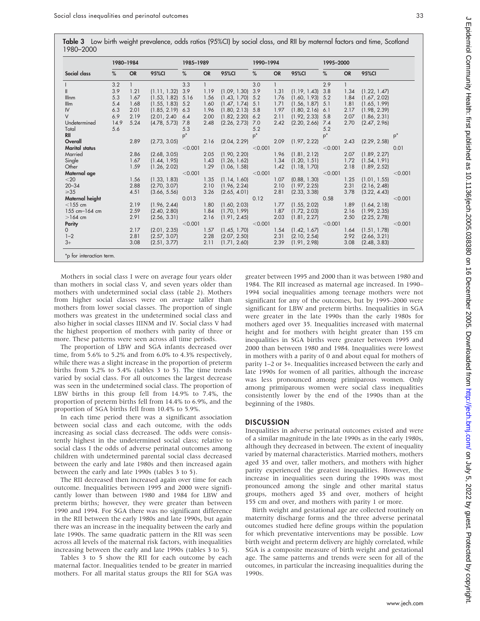Table 3 Low birth weight prevalence, odds ratios (95%CI) by social class, and RII by maternal factors and time, Scotland 1980–2000

|                       | 1980-1984 |           |              | 1985-1989 |           |              | 1990-1994 |           |                    | 1995-2000 |           |              |         |
|-----------------------|-----------|-----------|--------------|-----------|-----------|--------------|-----------|-----------|--------------------|-----------|-----------|--------------|---------|
| Social class          | %         | <b>OR</b> | <b>95%CI</b> | %         | <b>OR</b> | 95%CI        | %         | <b>OR</b> | <b>95%CI</b>       | %         | <b>OR</b> | 95%CI        |         |
|                       | 3.2       |           |              | 3.3       |           |              | 3.0       |           |                    | 2.9       |           |              |         |
| $\mathsf{I}$          | 3.9       | 1.21      | (1.11, 1.32) | 3.9       | 1.19      | (1.09, 1.30) | 3.9       | 1.31      | (1.19, 1.43)       | 3.8       | 1.34      | (1.22, 1.47) |         |
| Illnm                 | 5.3       | 1.67      | (1.53, 1.82) | 5.16      | 1.56      | (1.43, 1.70) | 5.2       | 1.76      | (1.60, 1.93)       | 5.2       | 1.84      | (1.67, 2.02) |         |
| I/Im                  | 5.4       | 1.68      | (1.55, 1.83) | 5.2       | 1.60      | (1.47, 1.74) | 5.1       | 1.71      | (1.56, 1.87)       | 5.1       | 1.81      | (1.65, 1.99) |         |
| $\mathsf{IV}$         | 6.3       | 2.01      | (1.85, 2.19) | 6.3       | 1.96      | (1.80, 2.13) | 5.8       | 1.97      | $(1.80, 2.16)$ 6.1 |           | 2.17      | (1.98, 2.39) |         |
| $\vee$                | 6.9       | 2.19      | (2.01, 2.40) | 6.4       | 2.00      | (1.82, 2.20) | 6.2       | 2.11      | (1.92, 2.33)       | 5.8       | 2.07      | (1.86, 2.31) |         |
| Undetermined          | 14.9      | 5.24      | (4.78, 5.73) | 7.8       | 2.48      | (2.26, 2.73) | 7.0       | 2.42      | (2.20, 2.66)       | 7.4       | 2.70      | (2.47, 2.96) |         |
| Total                 | 5.6       |           |              | 5.3       |           |              | 5.2       |           |                    | 5.2       |           |              |         |
| RII                   |           |           |              | $p^*$     |           |              | $p^*$     |           |                    | $p^*$     |           |              | $p^*$   |
| Overall               |           | 2.89      | (2.73, 3.05) |           | 2.16      | (2.04, 2.29) |           | 2.09      | (1.97, 2.22)       |           | 2.43      | (2.29, 2.58) |         |
| <b>Marital status</b> |           |           |              | < 0.001   |           |              | < 0.001   |           |                    | < 0.001   |           |              | 0.01    |
| Married               |           | 2.86      | (2.68, 3.05) |           | 2.05      | (1.90, 2.20) |           | 1.96      | (1.81, 2.12)       |           | 2.07      | (1.89, 2.27) |         |
| Single                |           | 1.67      | (1.44, 1.95) |           | 1.43      | (1.26, 1.62) |           | 1.34      | (1.20, 1.51)       |           | 1.72      | (1.54, 1.91) |         |
| Other                 |           | 1.59      | (1.26, 2.02) |           | 1.29      | (1.06, 1.58) |           | 1.42      | (1.18, 1.70)       |           | 2.18      | (1.89, 2.52) |         |
| Maternal age          |           |           |              | < 0.001   |           |              | < 0.001   |           |                    | < 0.001   |           |              | < 0.001 |
| $<$ 20                |           | 1.56      | (1.33, 1.83) |           | 1.35      | (1.14, 1.60) |           | 1.07      | (0.88, 1.30)       |           | 1.25      | (1.01, 1.55) |         |
| $20 - 34$             |           | 2.88      | (2.70, 3.07) |           | 2.10      | (1.96, 2.24) |           | 2.10      | (1.97, 2.25)       |           | 2.31      | (2.16, 2.48) |         |
| $\geqslant$ 35        |           | 4.51      | (3.66, 5.56) |           | 3.26      | (2.65, 4.01) |           | 2.81      | (2.33, 3.38)       |           | 3.78      | (3.22, 4.43) |         |
| Maternal height       |           |           |              | 0.013     |           |              | 0.12      |           |                    | 0.58      |           |              | < 0.001 |
| $<$ 155 cm            |           | 2.19      | (1.96, 2.44) |           | 1.80      | (1.60, 2.03) |           | 1.77      | (1.55, 2.02)       |           | 1.89      | (1.64, 2.18) |         |
| $155$ cm- $164$ cm    |           | 2.59      | (2.40, 2.80) |           | 1.84      | (1.70, 1.99) |           | 1.87      | (1.72, 2.03)       |           | 2.16      | (1.99, 2.35) |         |
| $>164$ cm             |           | 2.91      | (2.56, 3.31) |           | 2.16      | (1.91, 2.45) |           | 2.03      | (1.81, 2.27)       |           | 2.50      | (2.25, 2.78) |         |
| Parity                |           |           |              | < 0.001   |           |              | < 0.001   |           |                    | < 0.001   |           |              | < 0.001 |
| $\Omega$              |           | 2.17      | (2.01, 2.35) |           | 1.57      | (1.45, 1.70) |           | 1.54      | (1.42, 1.67)       |           | 1.64      | (1.51, 1.78) |         |
| $1 - 2$               |           | 2.81      | (2.57, 3.07) |           | 2.28      | (2.07, 2.50) |           | 2.31      | (2.10, 2.54)       |           | 2.92      | (2.66, 3.21) |         |
| $3+$                  |           | 3.08      | (2.51, 3.77) |           | 2.11      | (1.71, 2.60) |           | 2.39      | (1.91, 2.98)       |           | 3.08      | (2.48, 3.83) |         |

Mothers in social class I were on average four years older than mothers in social class V, and seven years older than mothers with undetermined social class (table 2). Mothers from higher social classes were on average taller than mothers from lower social classes. The proportion of single mothers was greatest in the undetermined social class and also higher in social classes IIINM and IV. Social class V had the highest proportion of mothers with parity of three or more. These patterns were seen across all time periods.

The proportion of LBW and SGA infants decreased over time, from 5.6% to 5.2% and from 6.0% to 4.3% respectively, while there was a slight increase in the proportion of preterm births from 5.2% to 5.4% (tables 3 to 5). The time trends varied by social class. For all outcomes the largest decrease was seen in the undetermined social class. The proportion of LBW births in this group fell from 14.9% to 7.4%, the proportion of preterm births fell from 14.4% to 6.9%, and the proportion of SGA births fell from 10.4% to 5.9%.

In each time period there was a significant association between social class and each outcome, with the odds increasing as social class decreased. The odds were consistently highest in the undetermined social class; relative to social class I the odds of adverse perinatal outcomes among children with undetermined parental social class decreased between the early and late 1980s and then increased again between the early and late 1990s (tables 3 to 5).

The RII decreased then increased again over time for each outcome. Inequalities between 1995 and 2000 were significantly lower than between 1980 and 1984 for LBW and preterm births; however, they were greater than between 1990 and 1994. For SGA there was no significant difference in the RII between the early 1980s and late 1990s, but again there was an increase in the inequality between the early and late 1990s. The same quadratic pattern in the RII was seen across all levels of the maternal risk factors, with inequalities increasing between the early and late 1990s (tables 3 to 5).

Tables 3 to 5 show the RII for each outcome by each maternal factor. Inequalities tended to be greater in married mothers. For all marital status groups the RII for SGA was

greater between 1995 and 2000 than it was between 1980 and 1984. The RII increased as maternal age increased. In 1990– 1994 social inequalities among teenage mothers were not significant for any of the outcomes, but by 1995–2000 were significant for LBW and preterm births. Inequalities in SGA were greater in the late 1990s than the early 1980s for mothers aged over 35. Inequalities increased with maternal height and for mothers with height greater than 155 cm inequalities in SGA births were greater between 1995 and 2000 than between 1980 and 1984. Inequalities were lowest in mothers with a parity of 0 and about equal for mothers of parity 1–2 or 3+. Inequalities increased between the early and late 1990s for women of all parities, although the increase was less pronounced among primiparous women. Only among primiparous women were social class inequalities consistently lower by the end of the 1990s than at the beginning of the 1980s.

## **DISCUSSION**

Inequalities in adverse perinatal outcomes existed and were of a similar magnitude in the late 1990s as in the early 1980s, although they decreased in between. The extent of inequality varied by maternal characteristics. Married mothers, mothers aged 35 and over, taller mothers, and mothers with higher parity experienced the greatest inequalities. However, the increase in inequalities seen during the 1990s was most pronounced among the single and other marital status groups, mothers aged 35 and over, mothers of height 155 cm and over, and mothers with parity 1 or more.

Birth weight and gestational age are collected routinely on maternity discharge forms and the three adverse perinatal outcomes studied here define groups within the population for which preventative interventions may be possible. Low birth weight and preterm delivery are highly correlated, while SGA is a composite measure of birth weight and gestational age. The same patterns and trends were seen for all of the outcomes, in particular the increasing inequalities during the 1990s.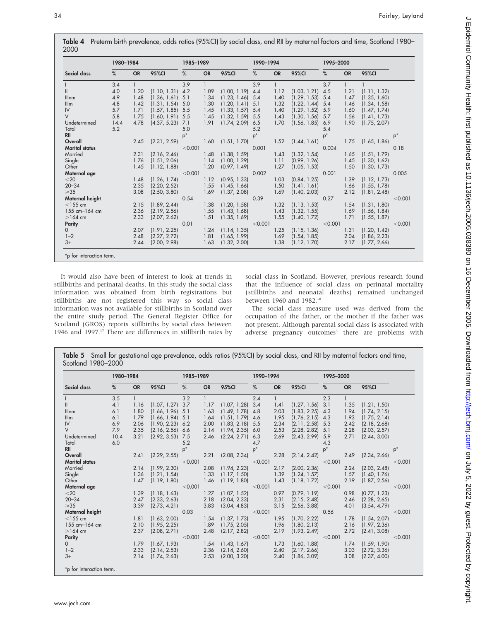|                       | 1980-1984 |           |              | 1985-1989 |           |              | 1990-1994 |              |              | 1995-2000 |           |              |         |
|-----------------------|-----------|-----------|--------------|-----------|-----------|--------------|-----------|--------------|--------------|-----------|-----------|--------------|---------|
| Social class          | %         | <b>OR</b> | 95%CI        | %         | <b>OR</b> | <b>95%CI</b> | %         | <b>OR</b>    | 95%CI        | %         | <b>OR</b> | 95%CI        |         |
|                       | 3.4       | 1         |              | 3.9       |           |              | 3.9       | $\mathbf{1}$ |              | 3.7       |           |              |         |
|                       | 4.0       | 1.20      | (1.10, 1.31) | 4.2       | 1.09      | (1.00, 1.19) | 4.4       | 1.12         | (1.03, 1.21) | 4.5       | 1.21      | (1.11, 1.32) |         |
| <b>Illnm</b>          | 4.9       | 1.48      | (1.36, 1.61) | 5.1       | 1.34      | (1.23, 1.46) | 5.4       | 1.40         | (1.29, 1.53) | 5.4       | 1.47      | (1.35, 1.60) |         |
| I/Im                  | 4.8       | 1.42      | (1.31, 1.54) | 5.0       | 1.30      | (1.20, 1.41) | 5.1       | 1.32         | (1.22, 1.44) | 5.4       | 1.46      | (1.34, 1.58) |         |
| IV                    | 5.7       | 1.71      | (1.57, 1.85) | 5.5       | 1.45      | (1.33, 1.57) | 5.4       | 1.40         | (1.29, 1.52) | 5.9       | 1.60      | (1.47, 1.74) |         |
| V                     | 5.8       | 1.75      | (1.60, 1.91) | 5.5       | 1.45      | (1.32, 1.59) | 5.5       | 1.43         | (1.30, 1.56) | 5.7       | 1.56      | (1.41, 1.73) |         |
| Undetermined          | 14.4      | 4.78      | (4.37, 5.23) | 7.1       | 1.91      | (1.74, 2.09) | 6.5       | 1.70         | (1.56, 1.85) | 6.9       | 1.90      | (1.75, 2.07) |         |
| Total                 | 5.2       |           |              | 5.0       |           |              | 5.2       |              |              | 5.4       |           |              |         |
| <b>RII</b>            |           |           |              | $p^*$     |           |              | $p^*$     |              |              | $p^*$     |           |              | $p^*$   |
| Overall               |           | 2.45      | (2.31, 2.59) |           | 1.60      | (1.51, 1.70) |           | 1.52         | (1.44, 1.61) |           | 1.75      | (1.65, 1.86) |         |
| <b>Marital</b> status |           |           |              | < 0.001   |           |              | 0.001     |              |              | 0.004     |           |              | 0.18    |
| Married               |           | 2.31      | (2.16, 2.46) |           | 1.48      | (1.38, 1.59) |           | 1.43         | (1.32, 1.54) |           | 1.65      | (1.51, 1.79) |         |
| Single                |           | 1.76      | (1.51, 2.06) |           | 1.14      | (1.00, 1.29) |           | 1.11         | (0.99, 1.26) |           | 1.45      | (1.30, 1.62) |         |
| Other                 |           | 1.45      | (1.12, 1.88) |           | 1.20      | (0.97, 1.49) |           | 1.27         | (1.05, 1.53) |           | 1.50      | (1.30, 1.73) |         |
| Maternal age          |           |           |              | < 0.001   |           |              | 0.002     |              |              | 0.001     |           |              | 0.005   |
| $<$ 20                |           | 1.48      | (1.26, 1.74) |           | 1.12      | (0.95, 1.33) |           | 1.03         | (0.84, 1.25) |           | 1.39      | (1.12, 1.73) |         |
| $20 - 34$             |           | 2.35      | (2.20, 2.52) |           | 1.55      | (1.45, 1.66) |           | 1.50         | (1.41, 1.61) |           | 1.66      | (1.55, 1.78) |         |
| $\geq 35$             |           | 3.08      | (2.50, 3.80) |           | 1.69      | (1.37, 2.08) |           | 1.69         | (1.40, 2.03) |           | 2.12      | (1.81, 2.48) |         |
| Maternal height       |           |           |              | 0.54      |           |              | 0.39      |              |              | 0.27      |           |              | < 0.001 |
| $<$ 155 cm            |           | 2.15      | (1.89, 2.44) |           | 1.38      | (1.20, 1.58) |           | 1.32         | (1.13, 1.53) |           | 1.54      | (1.31, 1.80) |         |
| 155 cm-164 cm         |           | 2.36      | (2.19, 2.56) |           | 1.55      | (1.43, 1.68) |           | 1.43         | (1.32, 1.55) |           | 1.69      | (1.56, 1.84) |         |
| $>164$ cm             |           | 2.33      | (2.07, 2.62) |           | 1.51      | (1.35, 1.69) |           | 1.55         | (1.40, 1.72) |           | 1.71      | (1.55, 1.87) |         |
| <b>Parity</b>         |           |           |              | 0.01      |           |              | < 0.001   |              |              | < 0.001   |           |              | < 0.001 |
| $\Omega$              |           | 2.07      | (1.91, 2.25) |           | 1.24      | (1.14, 1.35) |           | 1.25         | (1.15, 1.36) |           | 1.31      | (1.20, 1.42) |         |
| $1 - 2$               |           | 2.48      | (2.27, 2.72) |           | 1.81      | (1.65, 1.99) |           | 1.69         | (1.54, 1.85) |           | 2.04      | (1.86, 2.23) |         |
| $3+$                  |           | 2.44      | (2.00, 2.98) |           | 1.63      | (1.32, 2.00) |           | 1.38         | (1.12, 1.70) |           | 2.17      | (1.77, 2.66) |         |

It would also have been of interest to look at trends in stillbirths and perinatal deaths. In this study the social class information was obtained from birth registrations but stillbirths are not registered this way so social class information was not available for stillbirths in Scotland over the entire study period. The General Register Office for Scotland (GROS) reports stillbirths by social class between 1946 and 1997.<sup>17</sup> There are differences in stillbirth rates by

social class in Scotland. However, previous research found that the influence of social class on perinatal mortality (stillbirths and neonatal deaths) remained unchanged between 1960 and 1982.<sup>18</sup>

The social class measure used was derived from the occupation of the father, or the mother if the father was not present. Although parental social class is associated with adverse pregnancy outcomes<sup>4</sup> there are problems with

|                       | 1980-1984                                          |      |                    | 1985-1989 |       |              | 1990-1994 |       |                    | 1995-2000 |      |              |         |
|-----------------------|----------------------------------------------------|------|--------------------|-----------|-------|--------------|-----------|-------|--------------------|-----------|------|--------------|---------|
| Social class          | 95%CI<br>95%CI<br><b>OR</b><br>%<br><b>OR</b><br>% |      | %                  | <b>OR</b> | 95%CI | %            | <b>OR</b> | 95%CI |                    |           |      |              |         |
|                       | 3.5                                                |      |                    | 3.2       |       |              | 2.4       |       |                    | 2.3       |      |              |         |
|                       | 4.1                                                | 1.16 | (1.07, 1.27)       | 3.7       | 1.17  | (1.07, 1.28) | 3.4       | 1.41  | $(1.27, 1.56)$ 3.1 |           | 1.35 | (1.21, 1.50) |         |
| Illnm                 | 6.1                                                | 1.80 | $(1.66, 1.96)$ 5.1 |           | 1.63  | (1.49, 1.78) | 4.8       | 2.03  | $(1.83, 2.25)$ 4.3 |           | 1.94 | (1.74, 2.15) |         |
| I/Im                  | 6.1                                                | 1.79 | $(1.66, 1.94)$ 5.1 |           | 1.64  | (1.51, 1.79) | 4.6       | 1.95  | $(1.76, 2.15)$ 4.3 |           | 1.93 | (1.75, 2.14) |         |
| IV                    | 6.9                                                | 2.06 | (1.90, 2.23)       | 6.2       | 2.00  | (1.83, 2.18) | 5.5       | 2.34  | (2.11, 2.58)       | 5.3       | 2.42 | (2.18, 2.68) |         |
| $\vee$                | 7.9                                                | 2.35 | (2.16, 2.56)       | 6.6       | 2.14  | (1.94, 2.35) | 6.0       | 2.53  | (2.28, 2.82)       | 5.1       | 2.28 | (2.03, 2.57) |         |
| Undetermined          | 10.4                                               | 3.21 | (2.92, 3.53)       | 7.5       | 2.46  | (2.24, 2.71) | 6.3       | 2.69  | (2.43, 2.99)       | 5.9       | 2.71 | (2.44, 3.00) |         |
| Total                 | 6.0                                                |      |                    | 5.2       |       |              | 4.7       |       |                    | 4.3       |      |              |         |
| RII                   |                                                    |      |                    | $p^*$     |       |              | $p^*$     |       |                    | $p^*$     |      |              | $p^*$   |
| Overall               |                                                    | 2.41 | (2.29, 2.55)       |           | 2.21  | (2.08, 2.34) |           | 2.28  | (2.14, 2.42)       |           | 2.49 | (2.34, 2.66) |         |
| <b>Marital status</b> |                                                    |      |                    | < 0.001   |       |              | < 0.001   |       |                    | < 0.001   |      |              | < 0.001 |
| Married               |                                                    | 2.14 | (1.99, 2.30)       |           | 2.08  | (1.94, 2.23) |           | 2.17  | (2.00, 2.36)       |           | 2.24 | (2.03, 2.48) |         |
| Single                |                                                    | 1.36 | (1.21, 1.54)       |           | 1.33  | (1.17, 1.50) |           | 1.39  | (1.24, 1.57)       |           | 1.57 | (1.40, 1.76) |         |
| Other                 |                                                    | 1.47 | (1.19, 1.80)       |           | 1.46  | (1.19, 1.80) |           | 1.43  | (1.18, 1.72)       |           | 2.19 | (1.87, 2.56) |         |
| Maternal age          |                                                    |      |                    | < 0.001   |       |              | < 0.001   |       |                    | < 0.001   |      |              | < 0.001 |
| $<$ 20                |                                                    | 1.39 | (1.18, 1.63)       |           | 1.27  | (1.07, 1.52) |           | 0.97  | (0.79, 1.19)       |           | 0.98 | (0.77, 1.23) |         |
| $20 - 34$             |                                                    | 2.47 | (2.33, 2.63)       |           | 2.18  | (2.04, 2.33) |           | 2.31  | (2.15, 2.48)       |           | 2.46 | (2.28, 2.65) |         |
| $\geq 35$             |                                                    | 3.39 | (2.73, 4.21)       |           | 3.83  | (3.04, 4.83) |           | 3.15  | (2.56, 3.88)       |           | 4.01 | (3.54, 4.79) |         |
| Maternal height       |                                                    |      |                    | 0.03      |       |              | < 0.001   |       |                    | 0.56      |      |              | < 0.001 |
| $<$ 155 cm            |                                                    | 1.81 | (1.63, 2.00)       |           | 1.54  | (1.37, 1.73) |           | 1.95  | (1.70, 2.22)       |           | 1.78 | (1.54, 2.07) |         |
| 155 cm-164 cm         |                                                    | 2.10 | (1.95, 2.25)       |           | 1.89  | (1.75, 2.05) |           | 1.96  | (1.80, 2.13)       |           | 2.16 | (1.97, 2.36) |         |
| $>164$ cm             |                                                    | 2.37 | (2.08, 2.71)       |           | 2.48  | (2.17, 2.82) |           | 2.19  | (1.93, 2.49)       |           | 2.72 | (2.41, 3.08) |         |
| Parity                |                                                    |      |                    | < 0.001   |       |              | < 0.001   |       |                    | < 0.001   |      |              | < 0.001 |
| $\Omega$              |                                                    | 1.79 | (1.67, 1.93)       |           | 1.54  | (1.43, 1.67) |           | 1.73  | (1.60, 1.88)       |           | 1.74 | (1.59, 1.90) |         |
| $1 - 2$               |                                                    | 2.33 | (2.14, 2.53)       |           | 2.36  | (2.14, 2.60) |           | 2.40  | (2.17, 2.66)       |           | 3.03 | (2.72, 3.36) |         |
| $3+$                  |                                                    | 2.14 | (1.74, 2.63)       |           | 2.53  | (2.00, 3.20) |           | 2.40  | (1.86, 3.09)       |           | 3.08 | (2.37, 4.00) |         |

Table 5 Small for gestational age prevalence, odds ratios (95%CI) by social class, and RII by maternal factors and time,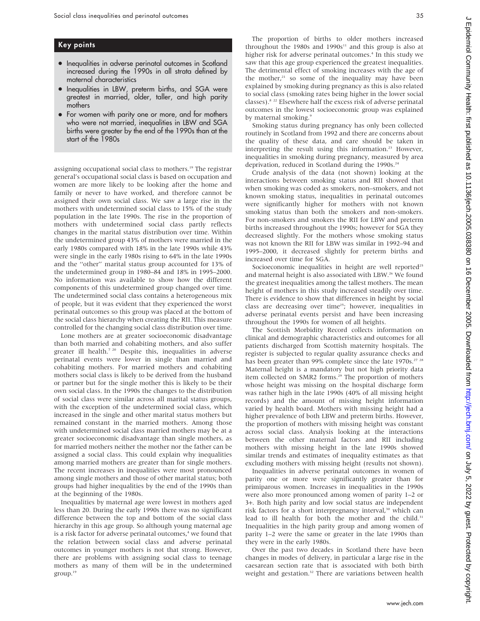## Key points

- Inequalities in adverse perinatal outcomes in Scotland increased during the 1990s in all strata defined by maternal characteristics
- Inequalities in LBW, preterm births, and SGA were greatest in married, older, taller, and high parity mothers
- For women with parity one or more, and for mothers who were not married, inequalities in LBW and SGA births were greater by the end of the 1990s than at the start of the 1980s

assigning occupational social class to mothers.<sup>19</sup> The registrar general's occupational social class is based on occupation and women are more likely to be looking after the home and family or never to have worked, and therefore cannot be assigned their own social class. We saw a large rise in the mothers with undetermined social class to 15% of the study population in the late 1990s. The rise in the proportion of mothers with undetermined social class partly reflects changes in the marital status distribution over time. Within the undetermined group 43% of mothers were married in the early 1980s compared with 18% in the late 1990s while 43% were single in the early 1980s rising to 64% in the late 1990s and the ''other'' marital status group accounted for 13% of the undetermined group in 1980–84 and 18% in 1995–2000. No information was available to show how the different components of this undetermined group changed over time. The undetermined social class contains a heterogeneous mix of people, but it was evident that they experienced the worst perinatal outcomes so this group was placed at the bottom of the social class hierarchy when creating the RII. This measure controlled for the changing social class distribution over time.

Lone mothers are at greater socioeconomic disadvantage than both married and cohabiting mothers, and also suffer greater ill health.<sup>7 20</sup> Despite this, inequalities in adverse perinatal events were lower in single than married and cohabiting mothers. For married mothers and cohabiting mothers social class is likely to be derived from the husband or partner but for the single mother this is likely to be their own social class. In the 1990s the changes to the distribution of social class were similar across all marital status groups, with the exception of the undetermined social class, which increased in the single and other marital status mothers but remained constant in the married mothers. Among those with undetermined social class married mothers may be at a greater socioeconomic disadvantage than single mothers, as for married mothers neither the mother nor the father can be assigned a social class. This could explain why inequalities among married mothers are greater than for single mothers. The recent increases in inequalities were most pronounced among single mothers and those of other marital status; both groups had higher inequalities by the end of the 1990s than at the beginning of the 1980s.

Inequalities by maternal age were lowest in mothers aged less than 20. During the early 1990s there was no significant difference between the top and bottom of the social class hierarchy in this age group. So although young maternal age is a risk factor for adverse perinatal outcomes,<sup>4</sup> we found that the relation between social class and adverse perinatal outcomes in younger mothers is not that strong. However, there are problems with assigning social class to teenage mothers as many of them will be in the undetermined  $group.<sup>19</sup>$ 

The proportion of births to older mothers increased throughout the 1980s and 1990s<sup>11</sup> and this group is also at higher risk for adverse perinatal outcomes.<sup>4</sup> In this study we saw that this age group experienced the greatest inequalities. The detrimental effect of smoking increases with the age of the mother, $21$  so some of the inequality may have been explained by smoking during pregnancy as this is also related to social class (smoking rates being higher in the lower social classes).8 22 Elsewhere half the excess risk of adverse perinatal outcomes in the lowest socioeconomic group was explained by maternal smoking.<sup>9</sup>

Smoking status during pregnancy has only been collected routinely in Scotland from 1992 and there are concerns about the quality of these data, and care should be taken in interpreting the result using this information.<sup>23</sup> However, inequalities in smoking during pregnancy, measured by area deprivation, reduced in Scotland during the  $1990s.^{24}$ 

Crude analysis of the data (not shown) looking at the interactions between smoking status and RII showed that when smoking was coded as smokers, non–smokers, and not known smoking status, inequalities in perinatal outcomes were significantly higher for mothers with not known smoking status than both the smokers and non-smokers. For non-smokers and smokers the RII for LBW and preterm births increased throughout the 1990s; however for SGA they decreased slightly. For the mothers whose smoking status was not known the RII for LBW was similar in 1992–94 and 1995–2000, it decreased slightly for preterm births and increased over time for SGA.

Socioeconomic inequalities in height are well reported<sup>25</sup> and maternal height is also associated with LBW.<sup>26</sup> We found the greatest inequalities among the tallest mothers. The mean height of mothers in this study increased steadily over time. There is evidence to show that differences in height by social class are decreasing over time<sup>25</sup>; however, inequalities in adverse perinatal events persist and have been increasing throughout the 1990s for women of all heights.

The Scottish Morbidity Record collects information on clinical and demographic characteristics and outcomes for all patients discharged from Scottish maternity hospitals. The register is subjected to regular quality assurance checks and has been greater than 99% complete since the late 1970s.<sup>27</sup> <sup>28</sup> Maternal height is a mandatory but not high priority data item collected on SMR2 forms.<sup>29</sup> The proportion of mothers whose height was missing on the hospital discharge form was rather high in the late 1990s (40% of all missing height records) and the amount of missing height information varied by health board. Mothers with missing height had a higher prevalence of both LBW and preterm births. However, the proportion of mothers with missing height was constant across social class. Analysis looking at the interactions between the other maternal factors and RII including mothers with missing height in the late 1990s showed similar trends and estimates of inequality estimates as that excluding mothers with missing height (results not shown).

Inequalities in adverse perinatal outcomes in women of parity one or more were significantly greater than for primiparous women. Increases in inequalities in the 1990s were also more pronounced among women of parity 1–2 or 3+. Both high parity and low social status are independent risk factors for a short interpregnancy interval,<sup>30</sup> which can lead to ill health for both the mother and the child.<sup>31</sup> Inequalities in the high parity group and among women of parity 1–2 were the same or greater in the late 1990s than they were in the early 1980s.

Over the past two decades in Scotland there have been changes in modes of delivery, in particular a large rise in the caesarean section rate that is associated with both birth weight and gestation.<sup>32</sup> There are variations between health